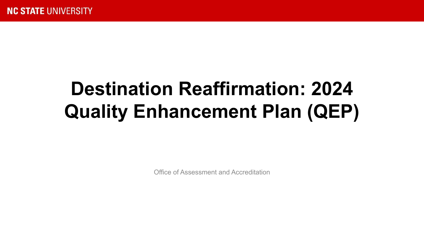# **Destination Reaffirmation: 2024 Quality Enhancement Plan (QEP)**

Office of Assessment and Accreditation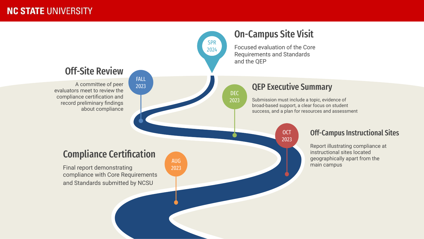### **NC STATE UNIVERSITY**



### Off-Campus Instructional Sites

Report illustrating compliance at instructional sites located geographically apart from the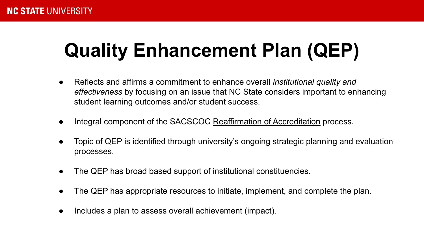# **Quality Enhancement Plan (QEP)**

- Reflects and affirms a commitment to enhance overall *institutional quality and effectiveness* by focusing on an issue that NC State considers important to enhancing student learning outcomes and/or student success.
- Integral component of the SACSCOC Reaffirmation of Accreditation process.
- Topic of QEP is identified through university's ongoing strategic planning and evaluation processes.
- The QEP has broad based support of institutional constituencies.
- The QEP has appropriate resources to initiate, implement, and complete the plan.
- Includes a plan to assess overall achievement (impact).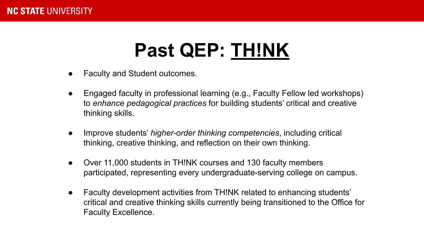# **Past QEP: TH!NK**

- **Faculty and Student outcomes.**
- Engaged faculty in professional learning (e.g., Faculty Fellow led workshops) to *enhance pedagogical practices* for building students' critical and creative thinking skills.
- Improve students' *higher-order thinking competencies*, including critical thinking, creative thinking, and reflection on their own thinking.
- Over 11,000 students in THINK courses and 130 faculty members participated, representing every undergraduate-serving college on campus.
- Faculty development activities from TH!NK related to enhancing students' critical and creative thinking skills currently being transitioned to the Office for Faculty Excellence.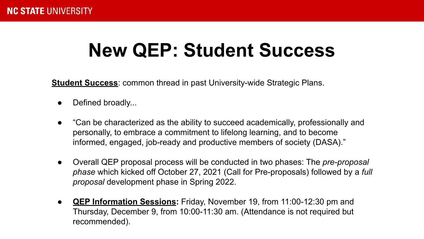# **New QEP: Student Success**

**Student Success**: common thread in past University-wide Strategic Plans.

- Defined broadly...
- "Can be characterized as the ability to succeed academically, professionally and personally, to embrace a commitment to lifelong learning, and to become informed, engaged, job-ready and productive members of society (DASA)."
- Overall QEP proposal process will be conducted in two phases: The *pre-proposal phase* which kicked off October 27, 2021 (Call for Pre-proposals) followed by a *full proposal* development phase in Spring 2022.
- **QEP Information Sessions:** Friday, November 19, from 11:00-12:30 pm and Thursday, December 9, from 10:00-11:30 am. (Attendance is not required but recommended).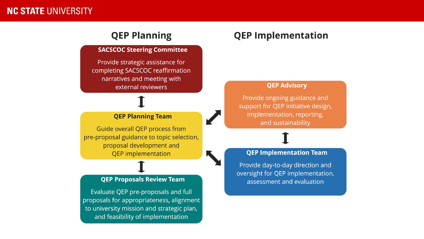### **NC STATE UNIVERSITY**

## **QEP Planning**

#### **SACSCOC Steering Committee**

Provide strategic assistance for completing SACSCOC reaffirmation narratives and meeting with external reviewers

#### **QEP Planning Team**

Guide overall QEP process from pre-proposal guidance to topic selection, proposal development and **QEP** implementation

#### **QEP Proposals Review Team**

Evaluate QEP pre-proposals and full proposals for appropriateness, alignment to university mission and strategic plan, and feasibility of implementation

### **QEP Implementation**

#### **QEP Advisory**

Provide ongoing guidance and support for QEP initiative design, implementation, reporting, and sustainability

#### **QEP Implementation Team**

Provide day-to-day direction and oversight for QEP implementation, assessment and evaluation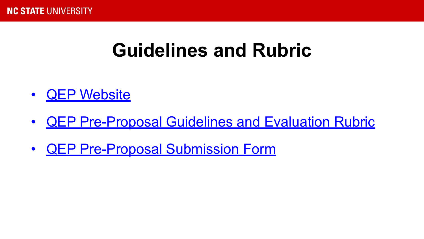## **Guidelines and Rubric**

- [QEP Website](https://provost.ncsu.edu/institutional-quality/accreditation/quality-enhancement-plan/)
- [QEP Pre-Proposal Guidelines and Evaluation Rubric](https://provost.ncsu.edu/institutional-quality/accreditation/quality-enhancement-plan/qep-pre-proposals/)
- [QEP Pre-Proposal Submission Form](https://provost.ncsu.edu/institutional-quality/accreditation/quality-enhancement-plan/qep-pre-proposal-submission-form/)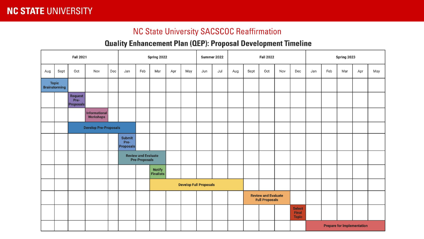### **NC STATE UNIVERSITY**

### **NC State University SACSCOC Reaffirmation**

### **Quality Enhancement Plan (QEP): Proposal Development Timeline**

| <b>Fall 2021</b>                     |                              |                                            |                                   |     |                                           | Spring 2022                                        |                             |     |     | Summer 2022                   |     |     | <b>Fall 2022</b>                                    |                                   |     |                                        | Spring 2023 |     |     |     |     |
|--------------------------------------|------------------------------|--------------------------------------------|-----------------------------------|-----|-------------------------------------------|----------------------------------------------------|-----------------------------|-----|-----|-------------------------------|-----|-----|-----------------------------------------------------|-----------------------------------|-----|----------------------------------------|-------------|-----|-----|-----|-----|
| Aug                                  | Sept                         | Oct                                        | Nov                               | Dec | Jan                                       | Feb                                                | Mar                         | Apr | May | Jun                           | Jul | Aug | Sept                                                | Oct                               | Nov | Dec                                    | Jan         | Feb | Mar | Apr | May |
| <b>Topic</b><br><b>Brainstorming</b> |                              |                                            |                                   |     |                                           |                                                    |                             |     |     |                               |     |     |                                                     |                                   |     |                                        |             |     |     |     |     |
|                                      |                              | <b>Request</b><br>Pre-<br><b>Proposals</b> |                                   |     |                                           |                                                    |                             |     |     |                               |     |     |                                                     |                                   |     |                                        |             |     |     |     |     |
|                                      |                              |                                            | Informational<br><b>Workshops</b> |     |                                           |                                                    |                             |     |     |                               |     |     |                                                     |                                   |     |                                        |             |     |     |     |     |
|                                      | <b>Develop Pre-Proposals</b> |                                            |                                   |     |                                           |                                                    |                             |     |     |                               |     |     |                                                     |                                   |     |                                        |             |     |     |     |     |
|                                      |                              |                                            |                                   |     | <b>Submit</b><br>Pre-<br><b>Proposals</b> |                                                    |                             |     |     |                               |     |     |                                                     |                                   |     |                                        |             |     |     |     |     |
|                                      |                              |                                            |                                   |     |                                           | <b>Review and Evaluate</b><br><b>Pre-Proposals</b> |                             |     |     |                               |     |     |                                                     |                                   |     |                                        |             |     |     |     |     |
|                                      |                              |                                            |                                   |     |                                           |                                                    | <b>Notify<br/>Finalists</b> |     |     |                               |     |     |                                                     |                                   |     |                                        |             |     |     |     |     |
|                                      |                              |                                            |                                   |     |                                           |                                                    |                             |     |     | <b>Develop Full Proposals</b> |     |     |                                                     |                                   |     |                                        |             |     |     |     |     |
|                                      |                              |                                            |                                   |     |                                           |                                                    |                             |     |     |                               |     |     | <b>Review and Evaluate</b><br><b>Full Proposals</b> |                                   |     |                                        |             |     |     |     |     |
|                                      |                              |                                            |                                   |     |                                           |                                                    |                             |     |     |                               |     |     |                                                     |                                   |     | <b>Select</b><br>Final<br><b>Topic</b> |             |     |     |     |     |
|                                      |                              |                                            |                                   |     |                                           |                                                    |                             |     |     |                               |     |     |                                                     | <b>Prepare for Implementation</b> |     |                                        |             |     |     |     |     |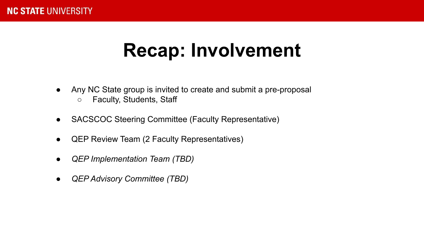## **Recap: Involvement**

- Any NC State group is invited to create and submit a pre-proposal
	- Faculty, Students, Staff
- SACSCOC Steering Committee (Faculty Representative)
- **QEP Review Team (2 Faculty Representatives)**
- *● QEP Implementation Team (TBD)*
- *● QEP Advisory Committee (TBD)*